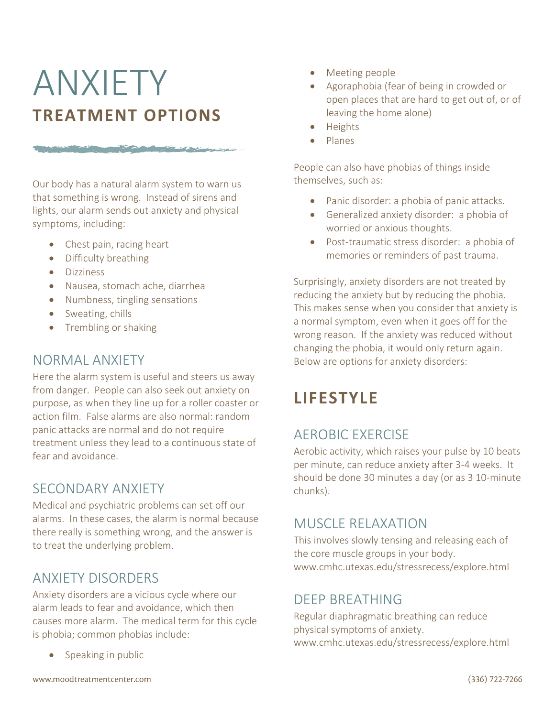# ANXIETY **TREATMENT OPTIONS**

The same of the same of the same of the same of the same of the same of the same of the same of the same of the

Our body has a natural alarm system to warn us that something is wrong. Instead of sirens and lights, our alarm sends out anxiety and physical symptoms, including:

- Chest pain, racing heart
- Difficulty breathing
- Dizziness
- Nausea, stomach ache, diarrhea
- Numbness, tingling sensations
- Sweating, chills
- Trembling or shaking

#### NORMAL ANXIETY

Here the alarm system is useful and steers us away from danger. People can also seek out anxiety on purpose, as when they line up for a roller coaster or action film. False alarms are also normal: random panic attacks are normal and do not require treatment unless they lead to a continuous state of fear and avoidance.

### SECONDARY ANXIETY

Medical and psychiatric problems can set off our alarms. In these cases, the alarm is normal because there really is something wrong, and the answer is to treat the underlying problem.

### ANXIETY DISORDERS

Anxiety disorders are a vicious cycle where our alarm leads to fear and avoidance, which then causes more alarm. The medical term for this cycle is phobia; common phobias include:

Speaking in public

- Meeting people
- Agoraphobia (fear of being in crowded or open places that are hard to get out of, or of leaving the home alone)
- Heights
- Planes

People can also have phobias of things inside themselves, such as:

- Panic disorder: a phobia of panic attacks.
- Generalized anxiety disorder: a phobia of worried or anxious thoughts.
- Post-traumatic stress disorder: a phobia of memories or reminders of past trauma.

Surprisingly, anxiety disorders are not treated by reducing the anxiety but by reducing the phobia. This makes sense when you consider that anxiety is a normal symptom, even when it goes off for the wrong reason. If the anxiety was reduced without changing the phobia, it would only return again. Below are options for anxiety disorders:

# **LIFESTYLE**

### AEROBIC EXERCISE

Aerobic activity, which raises your pulse by 10 beats per minute, can reduce anxiety after 3-4 weeks. It should be done 30 minutes a day (or as 3 10-minute chunks).

### MUSCLE RELAXATION

This involves slowly tensing and releasing each of the core muscle groups in your body. www.cmhc.utexas.edu/stressrecess/explore.html

#### DEEP BREATHING

Regular diaphragmatic breathing can reduce physical symptoms of anxiety. www.cmhc.utexas.edu/stressrecess/explore.html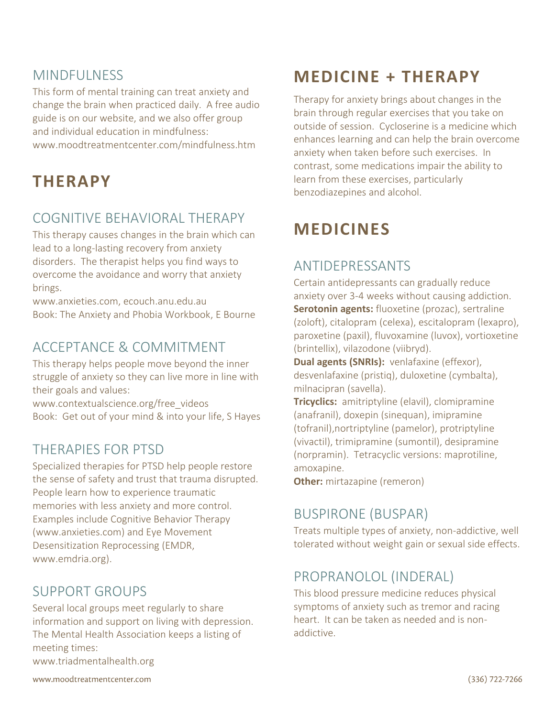### **MINDFULNESS**

This form of mental training can treat anxiety and change the brain when practiced daily. A free audio guide is on our website, and we also offer group and individual education in mindfulness: www.moodtreatmentcenter.com/mindfulness.htm

### **THERAPY**

### COGNITIVE BEHAVIORAL THERAPY

This therapy causes changes in the brain which can lead to a long-lasting recovery from anxiety disorders. The therapist helps you find ways to overcome the avoidance and worry that anxiety brings.

www.anxieties.com, ecouch.anu.edu.au Book: The Anxiety and Phobia Workbook, E Bourne

### ACCEPTANCE & COMMITMENT

This therapy helps people move beyond the inner struggle of anxiety so they can live more in line with their goals and values:

www.contextualscience.org/free\_videos Book: Get out of your mind & into your life, S Hayes

### THERAPIES FOR PTSD

Specialized therapies for PTSD help people restore the sense of safety and trust that trauma disrupted. People learn how to experience traumatic memories with less anxiety and more control. Examples include Cognitive Behavior Therapy (www.anxieties.com) and Eye Movement Desensitization Reprocessing (EMDR, www.emdria.org).

### SUPPORT GROUPS

Several local groups meet regularly to share information and support on living with depression. The Mental Health Association keeps a listing of meeting times:

www.triadmentalhealth.org

## **MEDICINE + THERAPY**

Therapy for anxiety brings about changes in the brain through regular exercises that you take on outside of session. Cycloserine is a medicine which enhances learning and can help the brain overcome anxiety when taken before such exercises. In contrast, some medications impair the ability to learn from these exercises, particularly benzodiazepines and alcohol.

# **MEDICINES**

### ANTIDEPRESSANTS

Certain antidepressants can gradually reduce anxiety over 3-4 weeks without causing addiction. **Serotonin agents:** fluoxetine (prozac), sertraline (zoloft), citalopram (celexa), escitalopram (lexapro), paroxetine (paxil), fluvoxamine (luvox), vortioxetine (brintellix), vilazodone (viibryd).

**Dual agents (SNRIs):** venlafaxine (effexor), desvenlafaxine (pristiq), duloxetine (cymbalta), milnacipran (savella).

**Tricyclics:** amitriptyline (elavil), clomipramine (anafranil), doxepin (sinequan), imipramine (tofranil),nortriptyline (pamelor), protriptyline (vivactil), trimipramine (sumontil), desipramine (norpramin). Tetracyclic versions: maprotiline, amoxapine.

**Other:** mirtazapine (remeron)

### BUSPIRONE (BUSPAR)

Treats multiple types of anxiety, non-addictive, well tolerated without weight gain or sexual side effects.

### PROPRANOLOL (INDERAL)

This blood pressure medicine reduces physical symptoms of anxiety such as tremor and racing heart. It can be taken as needed and is nonaddictive.